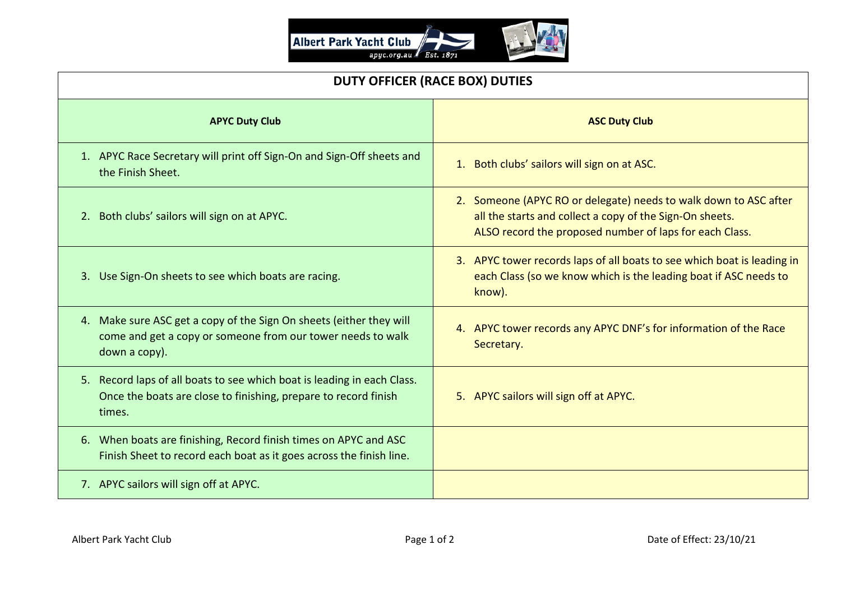

| <b>DUTY OFFICER (RACE BOX) DUTIES</b>                                                                                                                |                                                                                                                                                                                         |
|------------------------------------------------------------------------------------------------------------------------------------------------------|-----------------------------------------------------------------------------------------------------------------------------------------------------------------------------------------|
| <b>APYC Duty Club</b>                                                                                                                                | <b>ASC Duty Club</b>                                                                                                                                                                    |
| 1. APYC Race Secretary will print off Sign-On and Sign-Off sheets and<br>the Finish Sheet.                                                           | 1. Both clubs' sailors will sign on at ASC.                                                                                                                                             |
| 2. Both clubs' sailors will sign on at APYC.                                                                                                         | 2. Someone (APYC RO or delegate) needs to walk down to ASC after<br>all the starts and collect a copy of the Sign-On sheets.<br>ALSO record the proposed number of laps for each Class. |
| 3. Use Sign-On sheets to see which boats are racing.                                                                                                 | 3. APYC tower records laps of all boats to see which boat is leading in<br>each Class (so we know which is the leading boat if ASC needs to<br>know).                                   |
| 4. Make sure ASC get a copy of the Sign On sheets (either they will<br>come and get a copy or someone from our tower needs to walk<br>down a copy).  | 4. APYC tower records any APYC DNF's for information of the Race<br>Secretary.                                                                                                          |
| 5. Record laps of all boats to see which boat is leading in each Class.<br>Once the boats are close to finishing, prepare to record finish<br>times. | 5. APYC sailors will sign off at APYC.                                                                                                                                                  |
| 6. When boats are finishing, Record finish times on APYC and ASC<br>Finish Sheet to record each boat as it goes across the finish line.              |                                                                                                                                                                                         |
| 7. APYC sailors will sign off at APYC.                                                                                                               |                                                                                                                                                                                         |